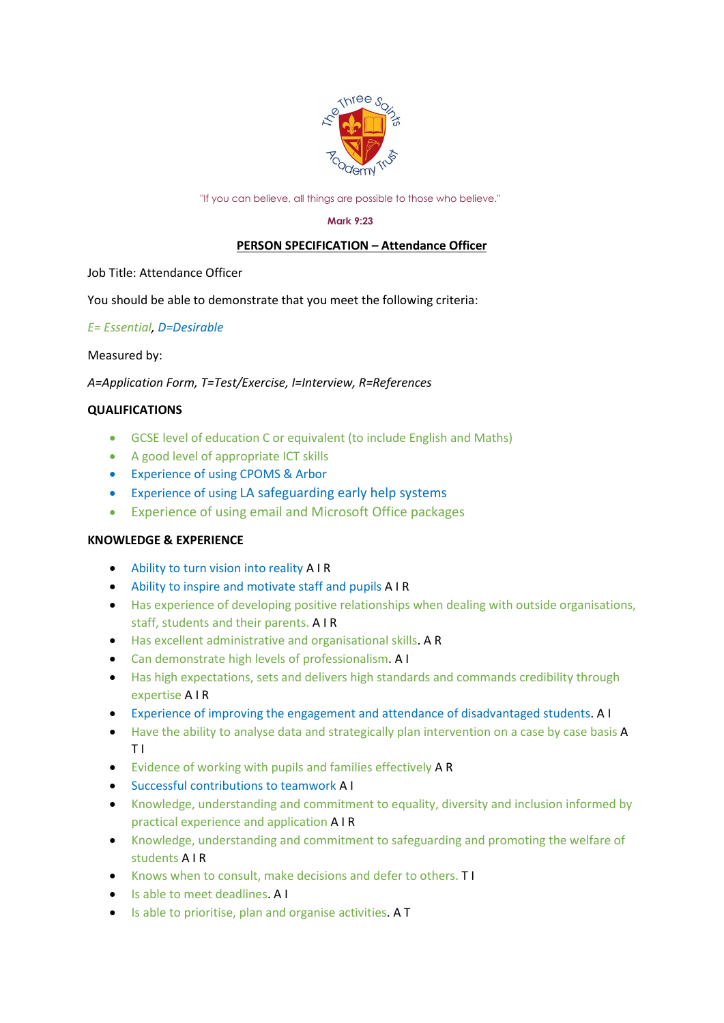

"If you can believe, all things are possible to those who believe."

#### **Mark 9:23**

# **PERSON SPECIFICATION – Attendance Officer**

Job Title: Attendance Officer

You should be able to demonstrate that you meet the following criteria:

# *E= Essential, D=Desirable*

### Measured by:

*A=Application Form, T=Test/Exercise, I=Interview, R=References*

# **QUALIFICATIONS**

- GCSE level of education C or equivalent (to include English and Maths)
- A good level of appropriate ICT skills
- Experience of using CPOMS & Arbor
- Experience of using LA safeguarding early help systems
- Experience of using email and Microsoft Office packages

### **KNOWLEDGE & EXPERIENCE**

- Ability to turn vision into reality A I R
- Ability to inspire and motivate staff and pupils A I R
- Has experience of developing positive relationships when dealing with outside organisations, staff, students and their parents. A I R
- Has excellent administrative and organisational skills. A R
- Can demonstrate high levels of professionalism. A I
- Has high expectations, sets and delivers high standards and commands credibility through expertise A I R
- Experience of improving the engagement and attendance of disadvantaged students. A I
- Have the ability to analyse data and strategically plan intervention on a case by case basis A T I
- Evidence of working with pupils and families effectively A R
- Successful contributions to teamwork A I
- Knowledge, understanding and commitment to equality, diversity and inclusion informed by practical experience and application A I R
- Knowledge, understanding and commitment to safeguarding and promoting the welfare of students A I R
- Knows when to consult, make decisions and defer to others. T I
- Is able to meet deadlines. A I
- Is able to prioritise, plan and organise activities. A T